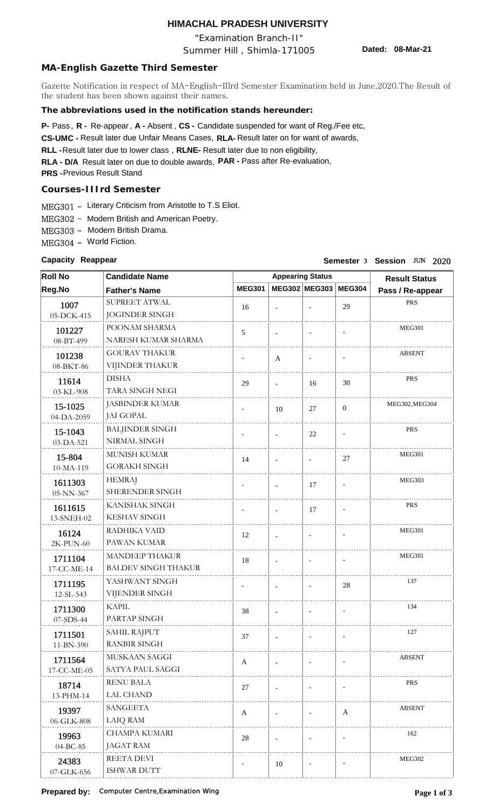# **HIMACHAL PRADESH UNIVERSITY**

"Examination Branch-II"

Summer Hill , Shimla-171005

**Dated: 08-Mar-21**

## **MA-English Gazette Third Semester**

Gazette Notification in respect of MA-English-IIIrd Semester Examination held in June,2020.The Result of the student has been shown against their names.

## **The abbreviations used in the notification stands hereunder:**

**P-** Pass, **R** - Re-appear, A - Absent, CS - Candidate suspended for want of Reg./Fee etc,

CS-UMC - Result later due Unfair Means Cases, RLA- Result later on for want of awards,

RLL - Result later due to lower class, RLNE- Result later due to non eligibility,

**RLA - D/A** Result later on due to double awards, **PAR -**  Pass after Re-evaluation,

**PRS -**  Previous Result Stand

## **Courses-IIIrd Semester**

MEG301 - Literary Criticism from Aristotle to T.S Eliot.

MEG302 - Modern British and American Poetry.

MEG303 - Modern British Drama.

MEG304 - World Fiction.

#### **Capacity Reappear**

## **Capacity** Reappear **Capacity** 3 2020

| <b>Roll No</b> | <b>Candidate Name</b>      |                          | <b>Appearing Status</b>  | <b>Result Status</b>     |                          |                  |
|----------------|----------------------------|--------------------------|--------------------------|--------------------------|--------------------------|------------------|
| Reg.No         | <b>Father's Name</b>       | <b>MEG301</b>            |                          | MEG302 MEG303            | <b>MEG304</b>            | Pass / Re-appear |
| 1007           | SUPREET ATWAL              | 16                       |                          | $\overline{\phantom{a}}$ | 29                       | <b>PRS</b>       |
| 05-DCK-415     | <b>JOGINDER SINGH</b>      |                          |                          |                          |                          |                  |
| 101227         | POONAM SHARMA              | 5                        |                          |                          | $\overline{\phantom{a}}$ | <b>MEG301</b>    |
| 08-BT-499      | NARESH KUMAR SHARMA        |                          |                          |                          |                          |                  |
| 101238         | <b>GOURAV THAKUR</b>       | $\overline{\phantom{a}}$ | A                        | $\overline{\phantom{a}}$ | $\overline{\phantom{a}}$ | <b>ABSENT</b>    |
| 08-BKT-86      | VIJINDER THAKUR            |                          |                          |                          |                          |                  |
| 11614          | <b>DISHA</b>               | 29                       | $\overline{\phantom{a}}$ | 16                       | 30                       | <b>PRS</b>       |
| 03-KL-908      | TARA SINGH NEGI            |                          |                          |                          |                          |                  |
| 15-1025        | <b>JASBINDER KUMAR</b>     | $\overline{\phantom{a}}$ | 10                       | 27                       | $\mathbf{0}$             | MEG302, MEG304   |
| 04-DA-2059     | JAI GOPAL                  |                          |                          |                          |                          |                  |
| 15-1043        | <b>BALJINDER SINGH</b>     | $\overline{\phantom{a}}$ | $\overline{\phantom{a}}$ | 22                       | $\blacksquare$           | <b>PRS</b>       |
| 03-DA-521      | NIRMAL SINGH               |                          |                          |                          |                          |                  |
| 15-804         | MUNISH KUMAR               | 14                       |                          | $\overline{\phantom{a}}$ | 27                       | <b>MEG301</b>    |
| 10-MA-119      | <b>GORAKH SINGH</b>        |                          |                          |                          |                          |                  |
| 1611303        | <b>HEMRAJ</b>              | $\overline{\phantom{a}}$ | $\overline{\phantom{a}}$ | 17                       | $\overline{\phantom{a}}$ | MEG303           |
| 05-NN-367      | SHERENDER SINGH            |                          |                          |                          |                          |                  |
| 1611615        | KANISHAK SINGH             | $\overline{\phantom{a}}$ |                          | 17                       | $\overline{\phantom{a}}$ | <b>PRS</b>       |
| 13-SNEH-02     | <b>KESHAV SINGH</b>        |                          |                          |                          |                          |                  |
| 16124          | RADHIKA VAID               | 12                       |                          |                          |                          | <b>MEG301</b>    |
| 2K-PUN-60      | PAWAN KUMAR                |                          |                          |                          |                          |                  |
| 1711104        | <b>MANDEEP THAKUR</b>      | 18                       | $\overline{\phantom{a}}$ | $\overline{a}$           | $\overline{\phantom{a}}$ | <b>MEG301</b>    |
| 17-CC-ME-14    | <b>BALDEV SINGH THAKUR</b> |                          |                          |                          |                          |                  |
| 1711195        | YASHWANT SINGH             | $\overline{\phantom{a}}$ | $\overline{\phantom{a}}$ | $\overline{\phantom{a}}$ | 28                       | 137              |
| 12-SL-543      | VIJENDER SINGH             |                          |                          |                          |                          |                  |
| 1711300        | <b>KAPIL</b>               | 38                       |                          |                          | $\overline{\phantom{a}}$ | 134              |
| 07-SDS-44      | PARTAP SINGH               |                          |                          |                          |                          |                  |
| 1711501        | SAHIL RAJPUT               | 37                       |                          |                          |                          | 127              |
| 11-BN-390      | <b>RANBIR SINGH</b>        |                          |                          |                          |                          |                  |
| 1711564        | MUSKAAN SAGGI              | $\mathbf{A}$             | $\overline{\phantom{a}}$ |                          |                          | <b>ABSENT</b>    |
| 17-CC-ME-05    | SATYA PAUL SAGGI           |                          |                          |                          |                          |                  |
| 18714          | <b>RENU BALA</b>           | 27                       |                          |                          |                          | <b>PRS</b>       |
| 13-PHM-14      | <b>LAL CHAND</b>           |                          |                          |                          |                          |                  |
| 19397          | <b>SANGEETA</b>            | $\mathbf{A}$             | $\blacksquare$           |                          | $\mathbf{A}$             | <b>ABSENT</b>    |
| 06-GLK-808     | <b>LAIQ RAM</b>            |                          |                          |                          |                          |                  |
| 19963          | <b>CHAMPA KUMARI</b>       | 28                       | $\overline{\phantom{a}}$ |                          |                          | 162              |
| 04-BC-85       | JAGAT RAM                  |                          |                          |                          |                          |                  |
| 24383          | REETA DEVI                 |                          | 10                       |                          |                          | MEG302           |
| 07-GLK-656     | ISHWAR DUTT                |                          |                          |                          |                          |                  |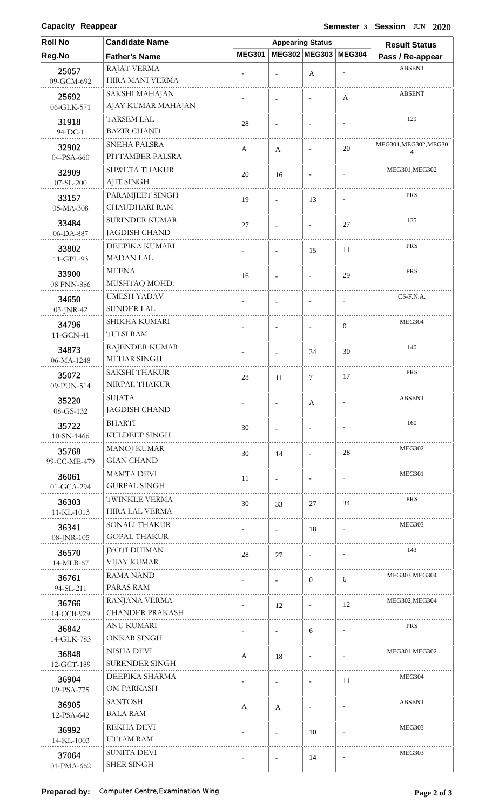**Capacity Reappear** 

#### **Capacity** Reappear **Capacity** 3 2020

| <b>Roll No</b>      | <b>Candidate Name</b>               |                          | <b>Appearing Status</b>  | <b>Result Status</b>     |                          |                            |
|---------------------|-------------------------------------|--------------------------|--------------------------|--------------------------|--------------------------|----------------------------|
| Reg.No              | <b>Father's Name</b>                | <b>MEG301</b>            |                          | MEG302 MEG303            | <b>MEG304</b>            | Pass / Re-appear           |
| 25057               | <b>RAJAT VERMA</b>                  |                          | $\blacksquare$           | A                        |                          | <b>ABSENT</b>              |
| 09-GCM-692          | HIRA MANI VERMA                     |                          |                          |                          |                          |                            |
| 25692               | SAKSHI MAHAJAN                      |                          |                          | $\overline{\phantom{a}}$ | A                        | <b>ABSENT</b>              |
| 06-GLK-571          | AJAY KUMAR MAHAJAN                  |                          |                          |                          |                          |                            |
| 31918               | <b>TARSEM LAL</b>                   | 28                       | $\overline{a}$           |                          | $\overline{\phantom{a}}$ | 129                        |
| 94-DC-1             | <b>BAZIR CHAND</b>                  |                          |                          |                          |                          |                            |
| 32902               | <b>SNEHA PALSRA</b>                 | A                        | A                        | $\overline{\phantom{a}}$ | 20                       | MEG301, MEG302, MEG30<br>4 |
| 04-PSA-660          | PITTAMBER PALSRA                    |                          |                          |                          |                          |                            |
| 32909               | <b>SHWETA THAKUR</b>                | 20                       | 16                       | $\blacksquare$           |                          | MEG301, MEG302             |
| 07-SL-200           | <b>AJIT SINGH</b>                   |                          |                          |                          |                          |                            |
| 33157               | PARAMJEET SINGH                     | 19                       | $\blacksquare$           | 13                       | $\overline{\phantom{a}}$ | PRS                        |
| 05-MA-308           | CHAUDHARI RAM                       |                          |                          |                          |                          |                            |
| 33484               | SURINDER KUMAR                      | 27                       | $\overline{\phantom{a}}$ |                          | 27                       | 135                        |
| 06-DA-887           | <b>JAGDISH CHAND</b>                |                          |                          |                          |                          |                            |
| 33802               | DEEPIKA KUMARI<br><b>MADAN LAL</b>  |                          | $\overline{\phantom{a}}$ | 15                       | 11                       | <b>PRS</b>                 |
| 11-GPL-93           |                                     |                          |                          |                          |                          |                            |
| 33900               | <b>MEENA</b><br>MUSHTAQ MOHD.       | 16                       | $\overline{\phantom{a}}$ | $\overline{a}$           | 29                       | <b>PRS</b>                 |
| 08 PNN-886          | <b>UMESH YADAV</b>                  |                          |                          |                          |                          | CS-F.N.A.                  |
| 34650<br>03-JNR-42  | <b>SUNDER LAL</b>                   |                          |                          |                          | $\overline{\phantom{a}}$ |                            |
|                     | SHIKHA KUMARI                       |                          |                          |                          |                          | <b>MEG304</b>              |
| 34796<br>11-GCN-41  | TULSI RAM                           |                          | $\overline{a}$           |                          | $\overline{0}$           |                            |
|                     | RAJENDER KUMAR                      |                          |                          |                          |                          | 140                        |
| 34873<br>06-MA-1248 | MEHAR SINGH                         |                          | $\blacksquare$           | 34                       | 30                       |                            |
| 35072               | <b>SAKSHI THAKUR</b>                |                          |                          |                          |                          | <b>PRS</b>                 |
| 09-PUN-514          | NIRPAL THAKUR                       | $28\,$                   | 11                       | 7                        | 17                       |                            |
| 35220               | SUJATA                              |                          |                          |                          |                          | <b>ABSENT</b>              |
| 08-GS-132           | <b>JAGDISH CHAND</b>                |                          |                          | $\mathbf{A}$             |                          |                            |
| 35722               | <b>BHARTI</b>                       | 30                       |                          | $\overline{\phantom{a}}$ |                          | 160                        |
| 10-SN-1466          | KULDEEP SINGH                       |                          | $\blacksquare$           |                          |                          |                            |
| 35768               | MANOJ KUMAR                         | 30                       | 14                       | $\overline{\phantom{a}}$ | 28                       | <b>MEG302</b>              |
| 99-CC-ME-479        | <b>GIAN CHAND</b>                   |                          |                          |                          |                          |                            |
| 36061               | <b>MAMTA DEVI</b>                   | 11                       | $\overline{\phantom{a}}$ | $\overline{\phantom{a}}$ | $\overline{\phantom{a}}$ | MEG301                     |
| 01-GCA-294          | <b>GURPAL SINGH</b>                 |                          |                          |                          |                          |                            |
| 36303               | TWINKLE VERMA                       | 30                       | 33                       | 27                       | 34                       | <b>PRS</b>                 |
| 11-KL-1013          | HIRA LAL VERMA                      |                          |                          |                          |                          |                            |
| 36341               | SONALI THAKUR                       |                          | $\blacksquare$           | 18                       |                          | MEG303                     |
| 08-JNR-105          | <b>GOPAL THAKUR</b>                 |                          |                          |                          |                          |                            |
| 36570               | <b>JYOTI DHIMAN</b>                 | 28                       | 27                       |                          |                          | 143                        |
| 14-MLB-67           | VIJAY KUMAR                         |                          |                          |                          |                          |                            |
| 36761               | <b>RAMA NAND</b>                    | $\overline{\phantom{a}}$ | $\blacksquare$           | $\mathbf{0}$             | 6                        | MEG303, MEG304             |
| 94-SL-211           | PARAS RAM                           |                          |                          |                          |                          |                            |
| 36766               | RANJANA VERMA                       | $\overline{\phantom{a}}$ | 12                       | $\overline{\phantom{a}}$ | 12                       | MEG302, MEG304             |
| 14-CCB-929          | <b>CHANDER PRAKASH</b>              |                          |                          |                          |                          |                            |
| 36842               | <b>ANU KUMARI</b>                   |                          | $\overline{\phantom{a}}$ | 6                        |                          | <b>PRS</b>                 |
| 14-GLK-783          | <b>ONKAR SINGH</b>                  |                          |                          |                          |                          |                            |
| 36848               | NISHA DEVI<br><b>SURENDER SINGH</b> | A                        | 18                       | $\blacksquare$           |                          | MEG301, MEG302             |
| 12-GCT-189          | DEEPIKA SHARMA                      |                          |                          |                          |                          | MEG304                     |
| 36904<br>09-PSA-775 | OM PARKASH                          | $\overline{\phantom{a}}$ |                          | $\overline{\phantom{a}}$ | 11                       |                            |
|                     | <b>SANTOSH</b>                      |                          |                          |                          |                          | <b>ABSENT</b>              |
| 36905<br>12-PSA-642 | <b>BALA RAM</b>                     | A                        | A                        |                          | $\overline{\phantom{a}}$ |                            |
|                     | REKHA DEVI                          |                          |                          |                          |                          | MEG303                     |
| 36992<br>14-KL-1003 | UTTAM RAM                           |                          | $\overline{\phantom{a}}$ | 10                       |                          |                            |
|                     | SUNITA DEVI                         |                          |                          |                          |                          | MEG303                     |
| 37064<br>01-PMA-662 | <b>SHER SINGH</b>                   | $\overline{\phantom{a}}$ | $\overline{\phantom{a}}$ | 14                       | $\overline{\phantom{a}}$ |                            |
|                     |                                     |                          |                          |                          |                          |                            |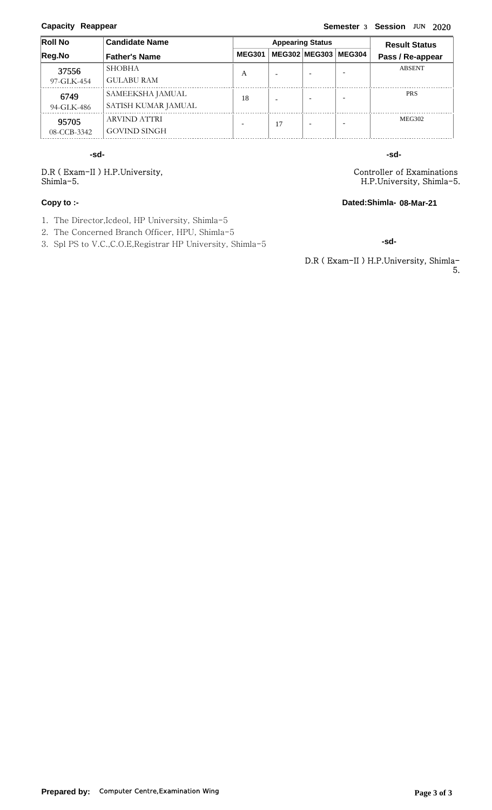#### **Capacity Reappear**

### **Capacity** Reappear **Capacity** 3 2020

| <b>Roll No</b> | <b>Candidate Name</b> |               | <b>Appearing Status</b> | <b>Result Status</b> |               |                  |
|----------------|-----------------------|---------------|-------------------------|----------------------|---------------|------------------|
| Reg.No         | <b>Father's Name</b>  | <b>MEG301</b> |                         | MEG302 MEG303        | <b>MEG304</b> | Pass / Re-appear |
| 37556          | <b>SHOBHA</b>         | A             |                         |                      |               | <b>ABSENT</b>    |
| 97-GLK-454     | <b>GULABU RAM</b>     |               |                         |                      |               |                  |
| 6749           | SAMEEKSHA JAMUAL      | 18            |                         |                      |               | <b>PRS</b>       |
| 94-GLK-486     | SATISH KUMAR JAMUAL   |               |                         |                      |               |                  |
| 95705          | ARVIND ATTRI          |               | 17                      |                      |               | <b>MEG302</b>    |
| 08-CCB-3342    | <b>GOVIND SINGH</b>   |               |                         |                      |               |                  |

**-sd- -sd-**

D.R ( Exam-II ) H.P.University, Shimla-5.

#### **Copy to :-**

- 1. The Director,Icdeol, HP University, Shimla-5
- 2. The Concerned Branch Officer, HPU, Shimla-5
- 3. Spl PS to V.C.,C.O.E,Registrar HP University, Shimla-5

Controller of Examinations H.P.University, Shimla-5.

**Dated:Shimla-08-Mar-21**

**-sd-**

D.R ( Exam-II ) H.P.University, Shimla-5.